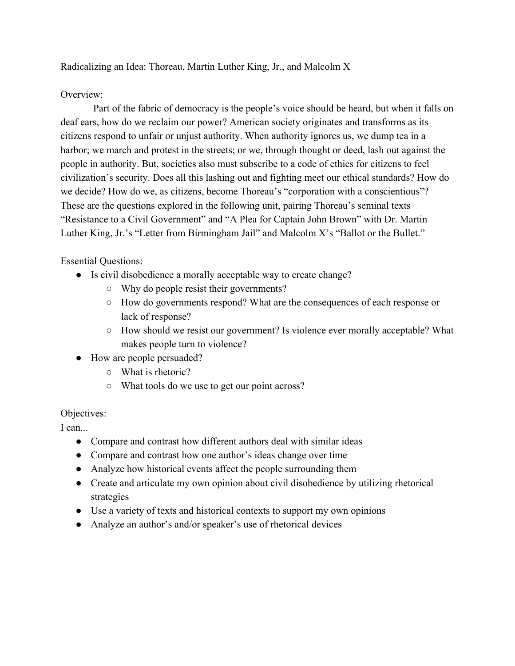Radicalizing an Idea: Thoreau, Martin Luther King, Jr., and Malcolm X

# Overview:

 Part of the fabric of democracy is the people's voice should be heard, but when it falls on deaf ears, how do we reclaim our power? American society originates and transforms as its citizens respond to unfair or unjust authority. When authority ignores us, we dump tea in a harbor; we march and protest in the streets; or we, through thought or deed, lash out against the people in authority. But, societies also must subscribe to a code of ethics for citizens to feel civilization's security. Does all this lashing out and fighting meet our ethical standards? How do we decide? How do we, as citizens, become Thoreau's "corporation with a conscientious"? These are the questions explored in the following unit, pairing Thoreau's seminal texts "Resistance to a Civil Government" and "A Plea for Captain John Brown" with Dr. Martin Luther King, Jr.'s "Letter from Birmingham Jail" and Malcolm X's "Ballot or the Bullet."

# Essential Questions:

- Is civil disobedience a morally acceptable way to create change?
	- Why do people resist their governments?
	- How do governments respond? What are the consequences of each response or lack of response?
	- How should we resist our government? Is violence ever morally acceptable? What makes people turn to violence?
- How are people persuaded?
	- What is rhetoric?
	- What tools do we use to get our point across?

## Objectives:

I can

- Compare and contrast how different authors deal with similar ideas
- Compare and contrast how one author's ideas change over time
- Analyze how historical events affect the people surrounding them
- Create and articulate my own opinion about civil disobedience by utilizing rhetorical strategies
- Use a variety of texts and historical contexts to support my own opinions
- Analyze an author's and/or speaker's use of rhetorical devices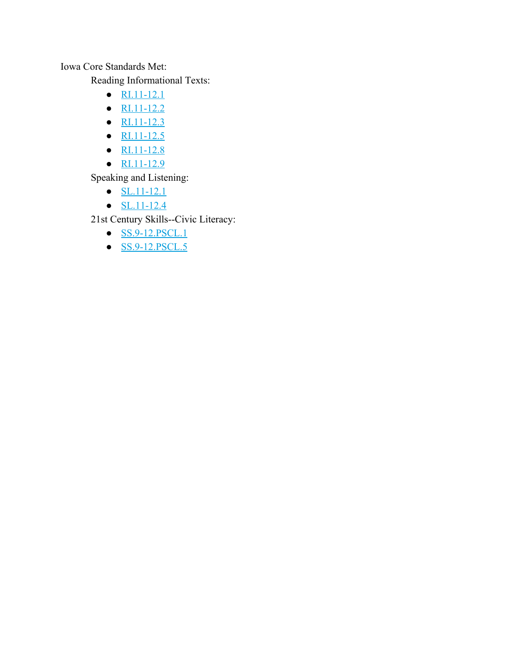Iowa Core Standards Met:

Reading Informational Texts:

- <u>[RI.11-12.1](https://iowacore.gov/iowa-core/subject/literacy/11/reading-standards-for-informational-text/key-ideas-and-details/ri.11%E2%80%9312.1)</u>
- <u>[RI.11-12.2](https://iowacore.gov/iowa-core/subject/literacy/11/reading-standards-for-informational-text/key-ideas-and-details/ri.11%E2%80%9312.2)</u>
- <u>[RI.11-12.3](https://iowacore.gov/iowa-core/subject/literacy/11/reading-standards-for-informational-text/key-ideas-and-details/ri.11%E2%80%9312.3)</u>
- <u>[RI.11-12.5](https://iowacore.gov/iowa-core/subject/literacy/11/reading-standards-for-informational-text/craft-and-structure/ri.11%E2%80%9312.5)</u>
- <u>[RI.11-12.8](https://iowacore.gov/iowa-core/subject/literacy/11/reading-standards-for-informational-text/integration-of-knowledge-and-ideas/ri.11%E2%80%9312.8)</u>
- [RI.11-12.9](https://iowacore.gov/iowa-core/subject/literacy/11/reading-standards-for-informational-text/integration-of-knowledge-and-ideas/ri.11%E2%80%9312.9)

Speaking and Listening:

- $\bullet$  [SL.11-12.1](https://iowacore.gov/iowa-core/subject/literacy/11/speaking-and-listening-standards/comprehension-and-collaboration/sl.11%E2%80%9312.1)
- $\bullet$  [SL.11-12.4](https://iowacore.gov/iowa-core/subject/literacy/11/speaking-and-listening-standards/presentation-of-knowledge-and-ideas/sl.11%E2%80%9312.4)

21st Century Skills--Civic Literacy:

- [SS.9-12.PSCL.1](https://iowacore.gov/iowa-core/subject/21st-century-skills/11/political-science%E2%80%93civic-literacy/political-science%E2%80%93civic-literacy/ss.9%E2%80%9312.pscl.1)
- [SS.9-12.PSCL.5](https://iowacore.gov/iowa-core/subject/21st-century-skills/11/political-science%E2%80%93civic-literacy/political-science%E2%80%93civic-literacy/ss.9%E2%80%9312.pscl.5)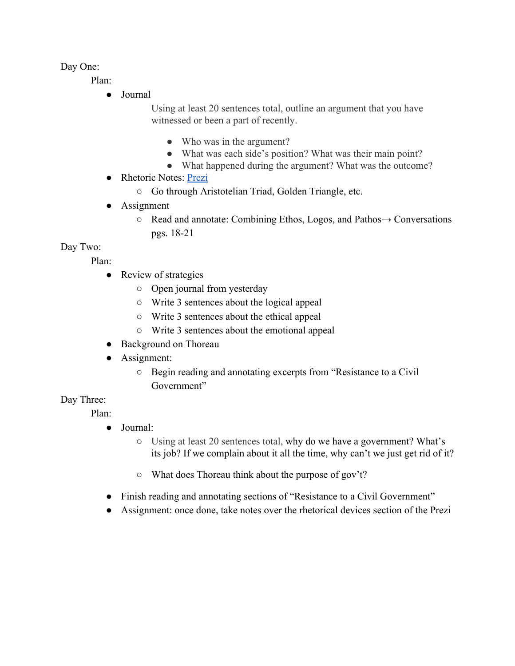Day One:

Plan:

● Journal

Using at least 20 sentences total, outline an argument that you have witnessed or been a part of recently.

- Who was in the argument?
- What was each side's position? What was their main point?
- What happened during the argument? What was the outcome?
- Rhetoric Notes: [Prezi](http://prezi.com/o_4v6msrpfj1/?utm_campaign=share&utm_medium=copy&rc=ex0share)
	- Go through Aristotelian Triad, Golden Triangle, etc.
- Assignment
	- Read and annotate: Combining Ethos, Logos, and Pathos→ Conversations pgs. 18-21

Day Two:

Plan:

- Review of strategies
	- Open journal from yesterday
	- Write 3 sentences about the logical appeal
	- Write 3 sentences about the ethical appeal
	- Write 3 sentences about the emotional appeal
- Background on Thoreau
- Assignment:
	- Begin reading and annotating excerpts from "Resistance to a Civil Government"

# Day Three:

Plan:

- Journal:
	- Using at least 20 sentences total, why do we have a government? What's its job? If we complain about it all the time, why can't we just get rid of it?
	- What does Thoreau think about the purpose of gov't?
- Finish reading and annotating sections of "Resistance to a Civil Government"
- Assignment: once done, take notes over the rhetorical devices section of the Prezi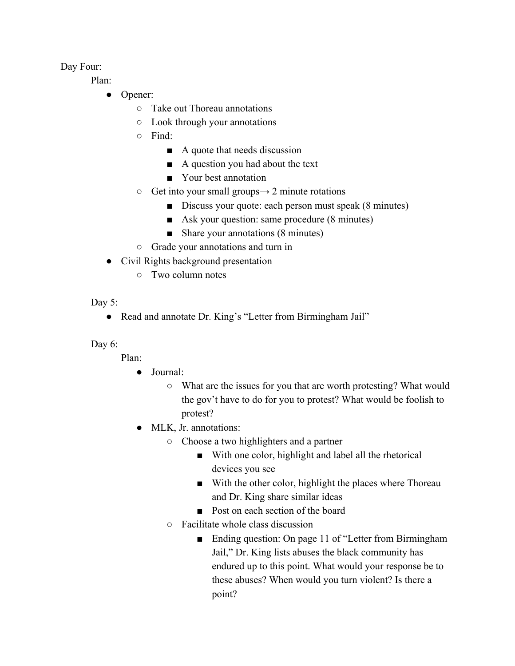## Day Four:

## Plan:

- Opener:
	- Take out Thoreau annotations
	- Look through your annotations
	- Find:
		- A quote that needs discussion
		- A question you had about the text
		- Your best annotation
	- $\circ$  Get into your small groups  $\rightarrow$  2 minute rotations
		- Discuss your quote: each person must speak (8 minutes)
		- Ask your question: same procedure (8 minutes)
		- Share your annotations (8 minutes)
	- Grade your annotations and turn in
- Civil Rights background presentation
	- Two column notes

# Day 5:

• Read and annotate Dr. King's "Letter from Birmingham Jail"

# Day 6:

Plan:

- Journal:
	- What are the issues for you that are worth protesting? What would the gov't have to do for you to protest? What would be foolish to protest?
- MLK, Jr. annotations:
	- Choose a two highlighters and a partner
		- With one color, highlight and label all the rhetorical devices you see
		- With the other color, highlight the places where Thoreau and Dr. King share similar ideas
		- Post on each section of the board
	- Facilitate whole class discussion
		- Ending question: On page 11 of "Letter from Birmingham Jail," Dr. King lists abuses the black community has endured up to this point. What would your response be to these abuses? When would you turn violent? Is there a point?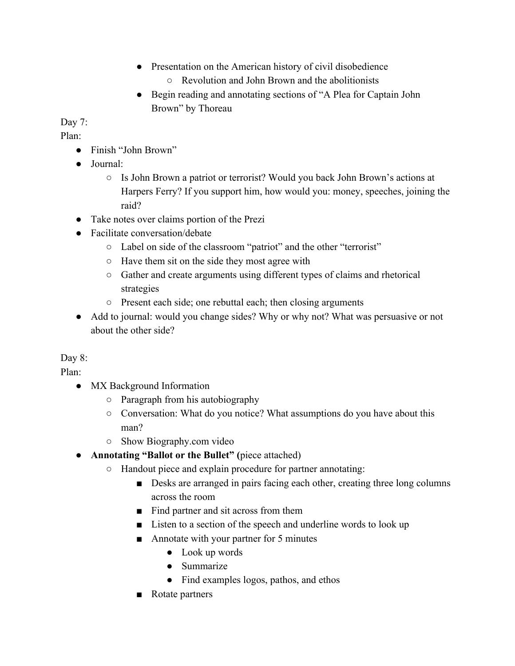- Presentation on the American history of civil disobedience
	- Revolution and John Brown and the abolitionists
- Begin reading and annotating sections of "A Plea for Captain John Brown" by Thoreau

Day 7:

Plan:

- Finish "John Brown"
- Journal:
	- Is John Brown a patriot or terrorist? Would you back John Brown's actions at Harpers Ferry? If you support him, how would you: money, speeches, joining the raid?
- Take notes over claims portion of the Prezi
- Facilitate conversation/debate
	- Label on side of the classroom "patriot" and the other "terrorist"
	- Have them sit on the side they most agree with
	- Gather and create arguments using different types of claims and rhetorical strategies
	- Present each side; one rebuttal each; then closing arguments
- Add to journal: would you change sides? Why or why not? What was persuasive or not about the other side?

Day 8:

Plan:

- MX Background Information
	- Paragraph from his autobiography
	- Conversation: What do you notice? What assumptions do you have about this man?
	- Show Biography.com video
- **● Annotating "Ballot or the Bullet" (**piece attached)
	- Handout piece and explain procedure for partner annotating:
		- Desks are arranged in pairs facing each other, creating three long columns across the room
		- Find partner and sit across from them
		- Listen to a section of the speech and underline words to look up
		- Annotate with your partner for 5 minutes
			- Look up words
			- Summarize
			- Find examples logos, pathos, and ethos
		- Rotate partners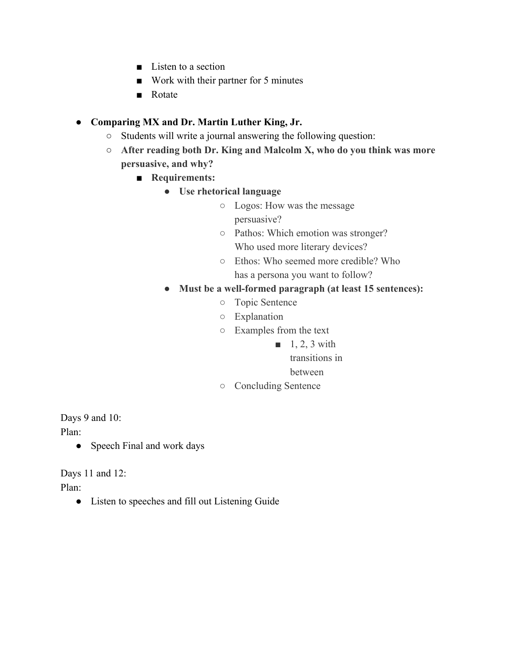- Listen to a section
- Work with their partner for 5 minutes
- Rotate

# **● Comparing MX and Dr. Martin Luther King, Jr.**

- Students will write a journal answering the following question:
- **After reading both Dr. King and Malcolm X, who do you think was more persuasive, and why?**
	- **Requirements:** 
		- **Use rhetorical language**
			- Logos: How was the message persuasive?
			- Pathos: Which emotion was stronger? Who used more literary devices?
			- Ethos: Who seemed more credible? Who has a persona you want to follow?
			- **Must be a well-formed paragraph (at least 15 sentences):**
				- Topic Sentence
				- Explanation
				- Examples from the text
					- $\blacksquare$  1, 2, 3 with
						- transitions in
						- between
				- Concluding Sentence

Days 9 and 10:

Plan:

• Speech Final and work days

Days 11 and 12:

Plan:

• Listen to speeches and fill out Listening Guide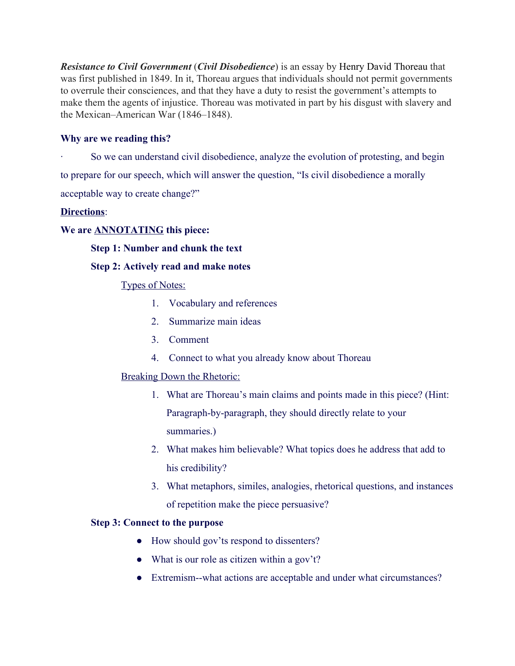*Resistance to Civil Government* (*Civil Disobedience*) is an essay by Henry David Thoreau that was first published in 1849. In it, Thoreau argues that individuals should not permit governments to overrule their consciences, and that they have a duty to resist the government's attempts to make them the agents of injustice. Thoreau was motivated in part by his disgust with slavery and the Mexican–American War (1846–1848).

# **Why are we reading this?**

So we can understand civil disobedience, analyze the evolution of protesting, and begin to prepare for our speech, which will answer the question, "Is civil disobedience a morally acceptable way to create change?"

## **Directions**:

## **We are ANNOTATING this piece:**

## **Step 1: Number and chunk the text**

# **Step 2: Actively read and make notes**

# Types of Notes:

- 1. Vocabulary and references
- 2. Summarize main ideas
- 3. Comment
- 4. Connect to what you already know about Thoreau

## Breaking Down the Rhetoric:

- 1. What are Thoreau's main claims and points made in this piece? (Hint: Paragraph-by-paragraph, they should directly relate to your summaries.)
- 2. What makes him believable? What topics does he address that add to his credibility?
- 3. What metaphors, similes, analogies, rhetorical questions, and instances of repetition make the piece persuasive?

## **Step 3: Connect to the purpose**

- How should gov'ts respond to dissenters?
- What is our role as citizen within a gov't?
- Extremism--what actions are acceptable and under what circumstances?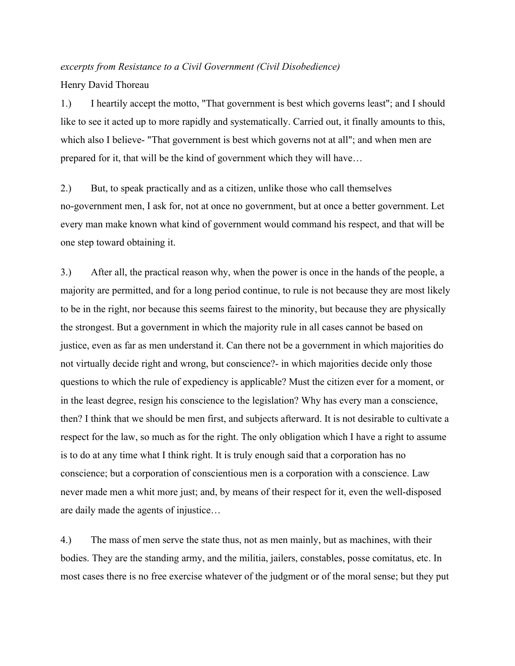*excerpts from Resistance to a Civil Government (Civil Disobedience)*

Henry David Thoreau

1.) I heartily accept the motto, "That government is best which governs least"; and I should like to see it acted up to more rapidly and systematically. Carried out, it finally amounts to this, which also I believe- "That government is best which governs not at all"; and when men are prepared for it, that will be the kind of government which they will have…

2.) But, to speak practically and as a citizen, unlike those who call themselves no-government men, I ask for, not at once no government, but at once a better government. Let every man make known what kind of government would command his respect, and that will be one step toward obtaining it.

3.) After all, the practical reason why, when the power is once in the hands of the people, a majority are permitted, and for a long period continue, to rule is not because they are most likely to be in the right, nor because this seems fairest to the minority, but because they are physically the strongest. But a government in which the majority rule in all cases cannot be based on justice, even as far as men understand it. Can there not be a government in which majorities do not virtually decide right and wrong, but conscience?- in which majorities decide only those questions to which the rule of expediency is applicable? Must the citizen ever for a moment, or in the least degree, resign his conscience to the legislation? Why has every man a conscience, then? I think that we should be men first, and subjects afterward. It is not desirable to cultivate a respect for the law, so much as for the right. The only obligation which I have a right to assume is to do at any time what I think right. It is truly enough said that a corporation has no conscience; but a corporation of conscientious men is a corporation with a conscience. Law never made men a whit more just; and, by means of their respect for it, even the well-disposed are daily made the agents of injustice…

4.) The mass of men serve the state thus, not as men mainly, but as machines, with their bodies. They are the standing army, and the militia, jailers, constables, posse comitatus, etc. In most cases there is no free exercise whatever of the judgment or of the moral sense; but they put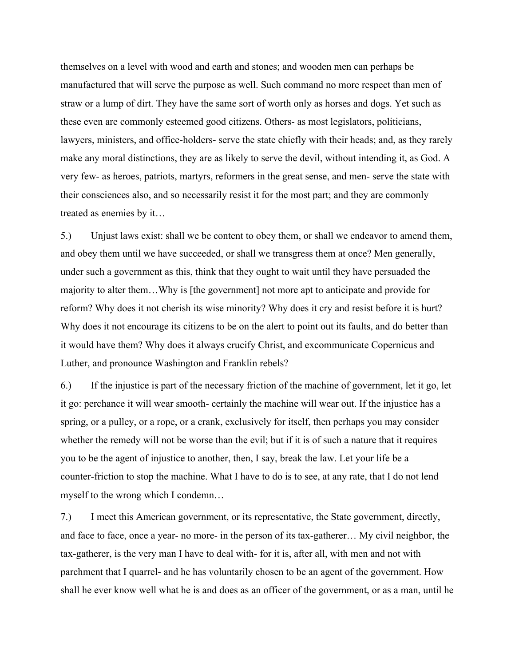themselves on a level with wood and earth and stones; and wooden men can perhaps be manufactured that will serve the purpose as well. Such command no more respect than men of straw or a lump of dirt. They have the same sort of worth only as horses and dogs. Yet such as these even are commonly esteemed good citizens. Others- as most legislators, politicians, lawyers, ministers, and office-holders- serve the state chiefly with their heads; and, as they rarely make any moral distinctions, they are as likely to serve the devil, without intending it, as God. A very few- as heroes, patriots, martyrs, reformers in the great sense, and men- serve the state with their consciences also, and so necessarily resist it for the most part; and they are commonly treated as enemies by it…

5.) Unjust laws exist: shall we be content to obey them, or shall we endeavor to amend them, and obey them until we have succeeded, or shall we transgress them at once? Men generally, under such a government as this, think that they ought to wait until they have persuaded the majority to alter them…Why is [the government] not more apt to anticipate and provide for reform? Why does it not cherish its wise minority? Why does it cry and resist before it is hurt? Why does it not encourage its citizens to be on the alert to point out its faults, and do better than it would have them? Why does it always crucify Christ, and excommunicate Copernicus and Luther, and pronounce Washington and Franklin rebels?

6.) If the injustice is part of the necessary friction of the machine of government, let it go, let it go: perchance it will wear smooth- certainly the machine will wear out. If the injustice has a spring, or a pulley, or a rope, or a crank, exclusively for itself, then perhaps you may consider whether the remedy will not be worse than the evil; but if it is of such a nature that it requires you to be the agent of injustice to another, then, I say, break the law. Let your life be a counter-friction to stop the machine. What I have to do is to see, at any rate, that I do not lend myself to the wrong which I condemn…

7.) I meet this American government, or its representative, the State government, directly, and face to face, once a year- no more- in the person of its tax-gatherer… My civil neighbor, the tax-gatherer, is the very man I have to deal with- for it is, after all, with men and not with parchment that I quarrel- and he has voluntarily chosen to be an agent of the government. How shall he ever know well what he is and does as an officer of the government, or as a man, until he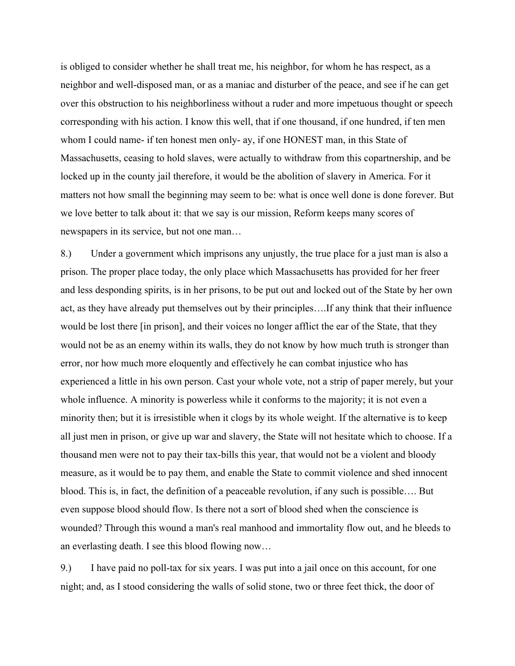is obliged to consider whether he shall treat me, his neighbor, for whom he has respect, as a neighbor and well-disposed man, or as a maniac and disturber of the peace, and see if he can get over this obstruction to his neighborliness without a ruder and more impetuous thought or speech corresponding with his action. I know this well, that if one thousand, if one hundred, if ten men whom I could name- if ten honest men only- ay, if one HONEST man, in this State of Massachusetts, ceasing to hold slaves, were actually to withdraw from this copartnership, and be locked up in the county jail therefore, it would be the abolition of slavery in America. For it matters not how small the beginning may seem to be: what is once well done is done forever. But we love better to talk about it: that we say is our mission, Reform keeps many scores of newspapers in its service, but not one man…

8.) Under a government which imprisons any unjustly, the true place for a just man is also a prison. The proper place today, the only place which Massachusetts has provided for her freer and less desponding spirits, is in her prisons, to be put out and locked out of the State by her own act, as they have already put themselves out by their principles….If any think that their influence would be lost there [in prison], and their voices no longer afflict the ear of the State, that they would not be as an enemy within its walls, they do not know by how much truth is stronger than error, nor how much more eloquently and effectively he can combat injustice who has experienced a little in his own person. Cast your whole vote, not a strip of paper merely, but your whole influence. A minority is powerless while it conforms to the majority; it is not even a minority then; but it is irresistible when it clogs by its whole weight. If the alternative is to keep all just men in prison, or give up war and slavery, the State will not hesitate which to choose. If a thousand men were not to pay their tax-bills this year, that would not be a violent and bloody measure, as it would be to pay them, and enable the State to commit violence and shed innocent blood. This is, in fact, the definition of a peaceable revolution, if any such is possible…. But even suppose blood should flow. Is there not a sort of blood shed when the conscience is wounded? Through this wound a man's real manhood and immortality flow out, and he bleeds to an everlasting death. I see this blood flowing now…

9.) I have paid no poll-tax for six years. I was put into a jail once on this account, for one night; and, as I stood considering the walls of solid stone, two or three feet thick, the door of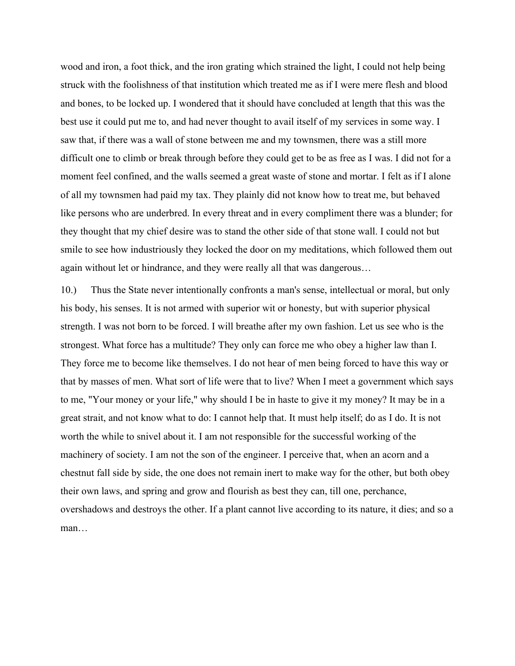wood and iron, a foot thick, and the iron grating which strained the light, I could not help being struck with the foolishness of that institution which treated me as if I were mere flesh and blood and bones, to be locked up. I wondered that it should have concluded at length that this was the best use it could put me to, and had never thought to avail itself of my services in some way. I saw that, if there was a wall of stone between me and my townsmen, there was a still more difficult one to climb or break through before they could get to be as free as I was. I did not for a moment feel confined, and the walls seemed a great waste of stone and mortar. I felt as if I alone of all my townsmen had paid my tax. They plainly did not know how to treat me, but behaved like persons who are underbred. In every threat and in every compliment there was a blunder; for they thought that my chief desire was to stand the other side of that stone wall. I could not but smile to see how industriously they locked the door on my meditations, which followed them out again without let or hindrance, and they were really all that was dangerous…

10.) Thus the State never intentionally confronts a man's sense, intellectual or moral, but only his body, his senses. It is not armed with superior wit or honesty, but with superior physical strength. I was not born to be forced. I will breathe after my own fashion. Let us see who is the strongest. What force has a multitude? They only can force me who obey a higher law than I. They force me to become like themselves. I do not hear of men being forced to have this way or that by masses of men. What sort of life were that to live? When I meet a government which says to me, "Your money or your life," why should I be in haste to give it my money? It may be in a great strait, and not know what to do: I cannot help that. It must help itself; do as I do. It is not worth the while to snivel about it. I am not responsible for the successful working of the machinery of society. I am not the son of the engineer. I perceive that, when an acorn and a chestnut fall side by side, the one does not remain inert to make way for the other, but both obey their own laws, and spring and grow and flourish as best they can, till one, perchance, overshadows and destroys the other. If a plant cannot live according to its nature, it dies; and so a man…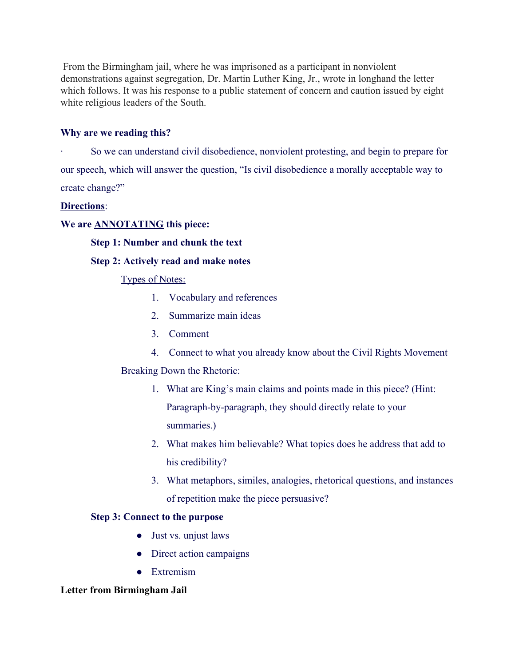From the Birmingham jail, where he was imprisoned as a participant in nonviolent demonstrations against segregation, Dr. Martin Luther King, Jr., wrote in longhand the letter which follows. It was his response to a public statement of concern and caution issued by eight white religious leaders of the South.

### **Why are we reading this?**

· So we can understand civil disobedience, nonviolent protesting, and begin to prepare for our speech, which will answer the question, "Is civil disobedience a morally acceptable way to create change?"

#### **Directions**:

## **We are ANNOTATING this piece:**

#### **Step 1: Number and chunk the text**

#### **Step 2: Actively read and make notes**

#### Types of Notes:

- 1. Vocabulary and references
- 2. Summarize main ideas
- 3. Comment
- 4. Connect to what you already know about the Civil Rights Movement

## Breaking Down the Rhetoric:

- 1. What are King's main claims and points made in this piece? (Hint: Paragraph-by-paragraph, they should directly relate to your summaries.)
- 2. What makes him believable? What topics does he address that add to his credibility?
- 3. What metaphors, similes, analogies, rhetorical questions, and instances of repetition make the piece persuasive?

#### **Step 3: Connect to the purpose**

- Just vs. unjust laws
- Direct action campaigns
- Extremism

#### **Letter from Birmingham Jail**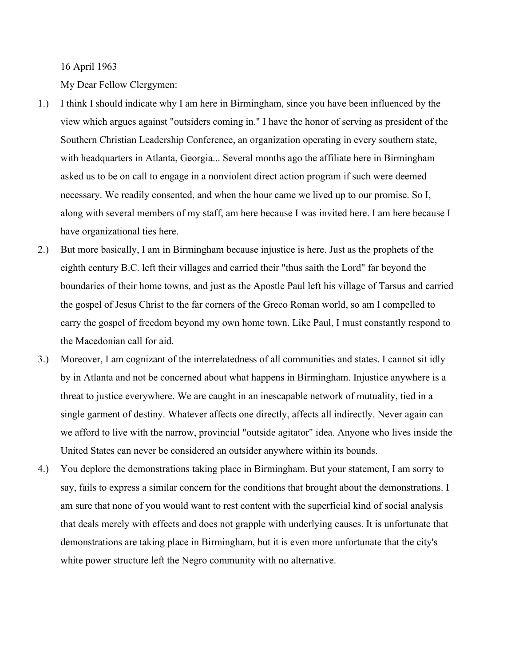16 April 1963

My Dear Fellow Clergymen:

- 1.) I think I should indicate why I am here in Birmingham, since you have been influenced by the view which argues against "outsiders coming in." I have the honor of serving as president of the Southern Christian Leadership Conference, an organization operating in every southern state, with headquarters in Atlanta, Georgia... Several months ago the affiliate here in Birmingham asked us to be on call to engage in a nonviolent direct action program if such were deemed necessary. We readily consented, and when the hour came we lived up to our promise. So I, along with several members of my staff, am here because I was invited here. I am here because I have organizational ties here.
- 2.) But more basically, I am in Birmingham because injustice is here. Just as the prophets of the eighth century B.C. left their villages and carried their "thus saith the Lord" far beyond the boundaries of their home towns, and just as the Apostle Paul left his village of Tarsus and carried the gospel of Jesus Christ to the far corners of the Greco Roman world, so am I compelled to carry the gospel of freedom beyond my own home town. Like Paul, I must constantly respond to the Macedonian call for aid.
- 3.) Moreover, I am cognizant of the interrelatedness of all communities and states. I cannot sit idly by in Atlanta and not be concerned about what happens in Birmingham. Injustice anywhere is a threat to justice everywhere. We are caught in an inescapable network of mutuality, tied in a single garment of destiny. Whatever affects one directly, affects all indirectly. Never again can we afford to live with the narrow, provincial "outside agitator" idea. Anyone who lives inside the United States can never be considered an outsider anywhere within its bounds.
- 4.) You deplore the demonstrations taking place in Birmingham. But your statement, I am sorry to say, fails to express a similar concern for the conditions that brought about the demonstrations. I am sure that none of you would want to rest content with the superficial kind of social analysis that deals merely with effects and does not grapple with underlying causes. It is unfortunate that demonstrations are taking place in Birmingham, but it is even more unfortunate that the city's white power structure left the Negro community with no alternative.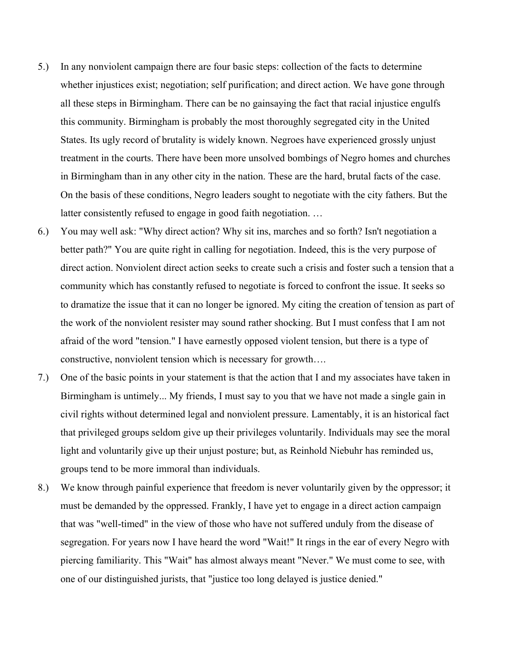- 5.) In any nonviolent campaign there are four basic steps: collection of the facts to determine whether injustices exist; negotiation; self purification; and direct action. We have gone through all these steps in Birmingham. There can be no gainsaying the fact that racial injustice engulfs this community. Birmingham is probably the most thoroughly segregated city in the United States. Its ugly record of brutality is widely known. Negroes have experienced grossly unjust treatment in the courts. There have been more unsolved bombings of Negro homes and churches in Birmingham than in any other city in the nation. These are the hard, brutal facts of the case. On the basis of these conditions, Negro leaders sought to negotiate with the city fathers. But the latter consistently refused to engage in good faith negotiation. …
- 6.) You may well ask: "Why direct action? Why sit ins, marches and so forth? Isn't negotiation a better path?" You are quite right in calling for negotiation. Indeed, this is the very purpose of direct action. Nonviolent direct action seeks to create such a crisis and foster such a tension that a community which has constantly refused to negotiate is forced to confront the issue. It seeks so to dramatize the issue that it can no longer be ignored. My citing the creation of tension as part of the work of the nonviolent resister may sound rather shocking. But I must confess that I am not afraid of the word "tension." I have earnestly opposed violent tension, but there is a type of constructive, nonviolent tension which is necessary for growth….
- 7.) One of the basic points in your statement is that the action that I and my associates have taken in Birmingham is untimely... My friends, I must say to you that we have not made a single gain in civil rights without determined legal and nonviolent pressure. Lamentably, it is an historical fact that privileged groups seldom give up their privileges voluntarily. Individuals may see the moral light and voluntarily give up their unjust posture; but, as Reinhold Niebuhr has reminded us, groups tend to be more immoral than individuals.
- 8.) We know through painful experience that freedom is never voluntarily given by the oppressor; it must be demanded by the oppressed. Frankly, I have yet to engage in a direct action campaign that was "well-timed" in the view of those who have not suffered unduly from the disease of segregation. For years now I have heard the word "Wait!" It rings in the ear of every Negro with piercing familiarity. This "Wait" has almost always meant "Never." We must come to see, with one of our distinguished jurists, that "justice too long delayed is justice denied."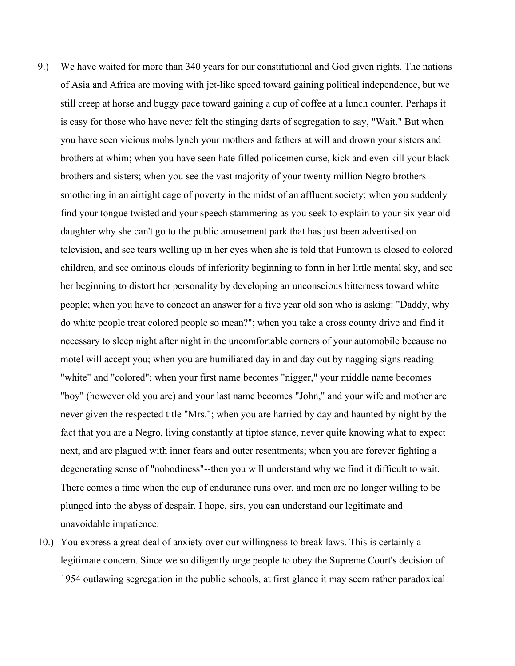- 9.) We have waited for more than 340 years for our constitutional and God given rights. The nations of Asia and Africa are moving with jet-like speed toward gaining political independence, but we still creep at horse and buggy pace toward gaining a cup of coffee at a lunch counter. Perhaps it is easy for those who have never felt the stinging darts of segregation to say, "Wait." But when you have seen vicious mobs lynch your mothers and fathers at will and drown your sisters and brothers at whim; when you have seen hate filled policemen curse, kick and even kill your black brothers and sisters; when you see the vast majority of your twenty million Negro brothers smothering in an airtight cage of poverty in the midst of an affluent society; when you suddenly find your tongue twisted and your speech stammering as you seek to explain to your six year old daughter why she can't go to the public amusement park that has just been advertised on television, and see tears welling up in her eyes when she is told that Funtown is closed to colored children, and see ominous clouds of inferiority beginning to form in her little mental sky, and see her beginning to distort her personality by developing an unconscious bitterness toward white people; when you have to concoct an answer for a five year old son who is asking: "Daddy, why do white people treat colored people so mean?"; when you take a cross county drive and find it necessary to sleep night after night in the uncomfortable corners of your automobile because no motel will accept you; when you are humiliated day in and day out by nagging signs reading "white" and "colored"; when your first name becomes "nigger," your middle name becomes "boy" (however old you are) and your last name becomes "John," and your wife and mother are never given the respected title "Mrs."; when you are harried by day and haunted by night by the fact that you are a Negro, living constantly at tiptoe stance, never quite knowing what to expect next, and are plagued with inner fears and outer resentments; when you are forever fighting a degenerating sense of "nobodiness"--then you will understand why we find it difficult to wait. There comes a time when the cup of endurance runs over, and men are no longer willing to be plunged into the abyss of despair. I hope, sirs, you can understand our legitimate and unavoidable impatience.
- 10.) You express a great deal of anxiety over our willingness to break laws. This is certainly a legitimate concern. Since we so diligently urge people to obey the Supreme Court's decision of 1954 outlawing segregation in the public schools, at first glance it may seem rather paradoxical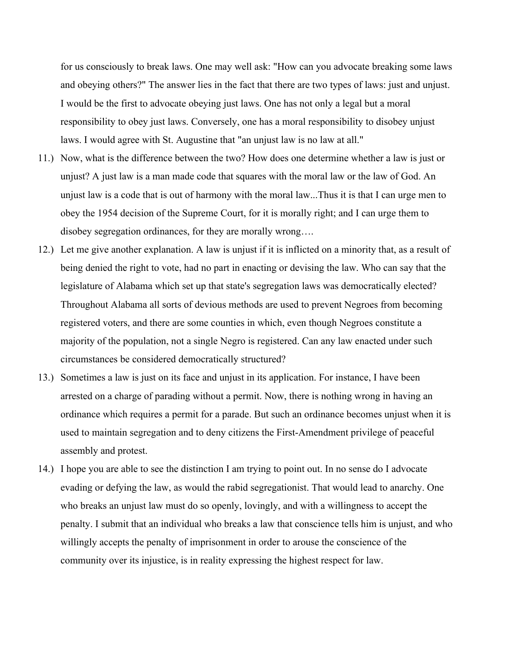for us consciously to break laws. One may well ask: "How can you advocate breaking some laws and obeying others?" The answer lies in the fact that there are two types of laws: just and unjust. I would be the first to advocate obeying just laws. One has not only a legal but a moral responsibility to obey just laws. Conversely, one has a moral responsibility to disobey unjust laws. I would agree with St. Augustine that "an unjust law is no law at all."

- 11.) Now, what is the difference between the two? How does one determine whether a law is just or unjust? A just law is a man made code that squares with the moral law or the law of God. An unjust law is a code that is out of harmony with the moral law...Thus it is that I can urge men to obey the 1954 decision of the Supreme Court, for it is morally right; and I can urge them to disobey segregation ordinances, for they are morally wrong….
- 12.) Let me give another explanation. A law is unjust if it is inflicted on a minority that, as a result of being denied the right to vote, had no part in enacting or devising the law. Who can say that the legislature of Alabama which set up that state's segregation laws was democratically elected? Throughout Alabama all sorts of devious methods are used to prevent Negroes from becoming registered voters, and there are some counties in which, even though Negroes constitute a majority of the population, not a single Negro is registered. Can any law enacted under such circumstances be considered democratically structured?
- 13.) Sometimes a law is just on its face and unjust in its application. For instance, I have been arrested on a charge of parading without a permit. Now, there is nothing wrong in having an ordinance which requires a permit for a parade. But such an ordinance becomes unjust when it is used to maintain segregation and to deny citizens the First-Amendment privilege of peaceful assembly and protest.
- 14.) I hope you are able to see the distinction I am trying to point out. In no sense do I advocate evading or defying the law, as would the rabid segregationist. That would lead to anarchy. One who breaks an unjust law must do so openly, lovingly, and with a willingness to accept the penalty. I submit that an individual who breaks a law that conscience tells him is unjust, and who willingly accepts the penalty of imprisonment in order to arouse the conscience of the community over its injustice, is in reality expressing the highest respect for law.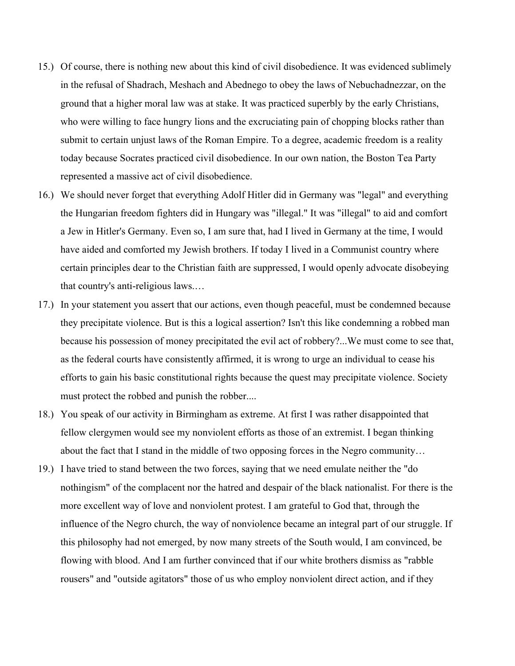- 15.) Of course, there is nothing new about this kind of civil disobedience. It was evidenced sublimely in the refusal of Shadrach, Meshach and Abednego to obey the laws of Nebuchadnezzar, on the ground that a higher moral law was at stake. It was practiced superbly by the early Christians, who were willing to face hungry lions and the excruciating pain of chopping blocks rather than submit to certain unjust laws of the Roman Empire. To a degree, academic freedom is a reality today because Socrates practiced civil disobedience. In our own nation, the Boston Tea Party represented a massive act of civil disobedience.
- 16.) We should never forget that everything Adolf Hitler did in Germany was "legal" and everything the Hungarian freedom fighters did in Hungary was "illegal." It was "illegal" to aid and comfort a Jew in Hitler's Germany. Even so, I am sure that, had I lived in Germany at the time, I would have aided and comforted my Jewish brothers. If today I lived in a Communist country where certain principles dear to the Christian faith are suppressed, I would openly advocate disobeying that country's anti-religious laws.…
- 17.) In your statement you assert that our actions, even though peaceful, must be condemned because they precipitate violence. But is this a logical assertion? Isn't this like condemning a robbed man because his possession of money precipitated the evil act of robbery?...We must come to see that, as the federal courts have consistently affirmed, it is wrong to urge an individual to cease his efforts to gain his basic constitutional rights because the quest may precipitate violence. Society must protect the robbed and punish the robber....
- 18.) You speak of our activity in Birmingham as extreme. At first I was rather disappointed that fellow clergymen would see my nonviolent efforts as those of an extremist. I began thinking about the fact that I stand in the middle of two opposing forces in the Negro community…
- 19.) I have tried to stand between the two forces, saying that we need emulate neither the "do nothingism" of the complacent nor the hatred and despair of the black nationalist. For there is the more excellent way of love and nonviolent protest. I am grateful to God that, through the influence of the Negro church, the way of nonviolence became an integral part of our struggle. If this philosophy had not emerged, by now many streets of the South would, I am convinced, be flowing with blood. And I am further convinced that if our white brothers dismiss as "rabble rousers" and "outside agitators" those of us who employ nonviolent direct action, and if they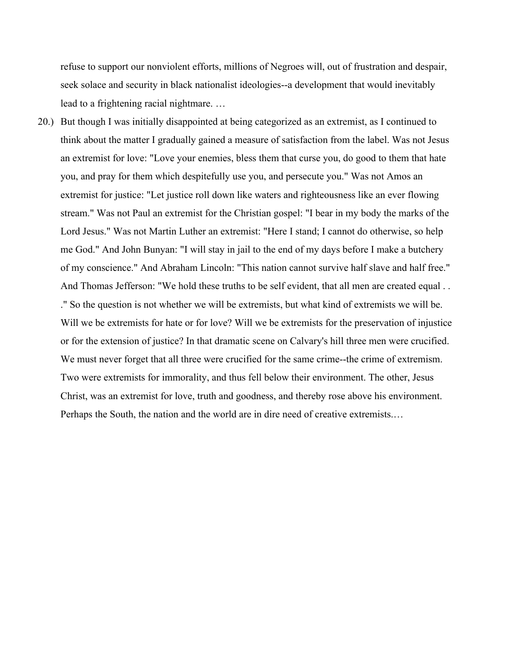refuse to support our nonviolent efforts, millions of Negroes will, out of frustration and despair, seek solace and security in black nationalist ideologies--a development that would inevitably lead to a frightening racial nightmare. …

20.) But though I was initially disappointed at being categorized as an extremist, as I continued to think about the matter I gradually gained a measure of satisfaction from the label. Was not Jesus an extremist for love: "Love your enemies, bless them that curse you, do good to them that hate you, and pray for them which despitefully use you, and persecute you." Was not Amos an extremist for justice: "Let justice roll down like waters and righteousness like an ever flowing stream." Was not Paul an extremist for the Christian gospel: "I bear in my body the marks of the Lord Jesus." Was not Martin Luther an extremist: "Here I stand; I cannot do otherwise, so help me God." And John Bunyan: "I will stay in jail to the end of my days before I make a butchery of my conscience." And Abraham Lincoln: "This nation cannot survive half slave and half free." And Thomas Jefferson: "We hold these truths to be self evident, that all men are created equal . . ." So the question is not whether we will be extremists, but what kind of extremists we will be. Will we be extremists for hate or for love? Will we be extremists for the preservation of injustice or for the extension of justice? In that dramatic scene on Calvary's hill three men were crucified. We must never forget that all three were crucified for the same crime--the crime of extremism. Two were extremists for immorality, and thus fell below their environment. The other, Jesus Christ, was an extremist for love, truth and goodness, and thereby rose above his environment. Perhaps the South, the nation and the world are in dire need of creative extremists.…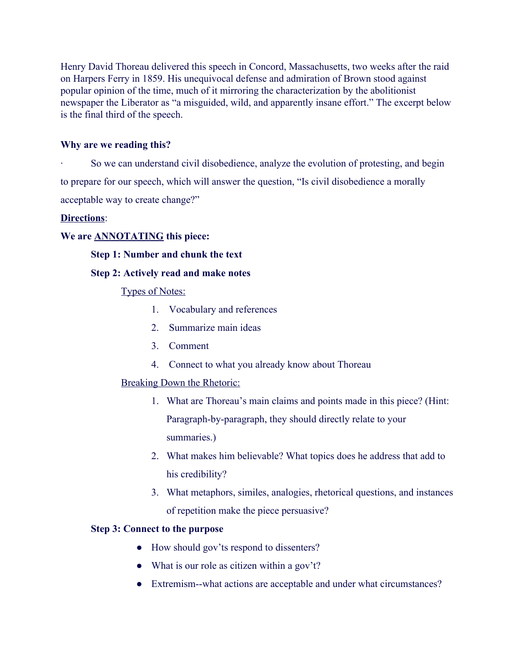Henry David Thoreau delivered this speech in Concord, Massachusetts, two weeks after the raid on Harpers Ferry in 1859. His unequivocal defense and admiration of Brown stood against popular opinion of the time, much of it mirroring the characterization by the abolitionist newspaper the Liberator as "a misguided, wild, and apparently insane effort." The excerpt below is the final third of the speech.

#### **Why are we reading this?**

So we can understand civil disobedience, analyze the evolution of protesting, and begin to prepare for our speech, which will answer the question, "Is civil disobedience a morally

acceptable way to create change?"

#### **Directions**:

## **We are ANNOTATING this piece:**

#### **Step 1: Number and chunk the text**

#### **Step 2: Actively read and make notes**

#### Types of Notes:

- 1. Vocabulary and references
- 2. Summarize main ideas
- 3. Comment
- 4. Connect to what you already know about Thoreau

## Breaking Down the Rhetoric:

- 1. What are Thoreau's main claims and points made in this piece? (Hint: Paragraph-by-paragraph, they should directly relate to your summaries.)
- 2. What makes him believable? What topics does he address that add to his credibility?
- 3. What metaphors, similes, analogies, rhetorical questions, and instances of repetition make the piece persuasive?

#### **Step 3: Connect to the purpose**

- How should gov'ts respond to dissenters?
- What is our role as citizen within a gov't?
- Extremism--what actions are acceptable and under what circumstances?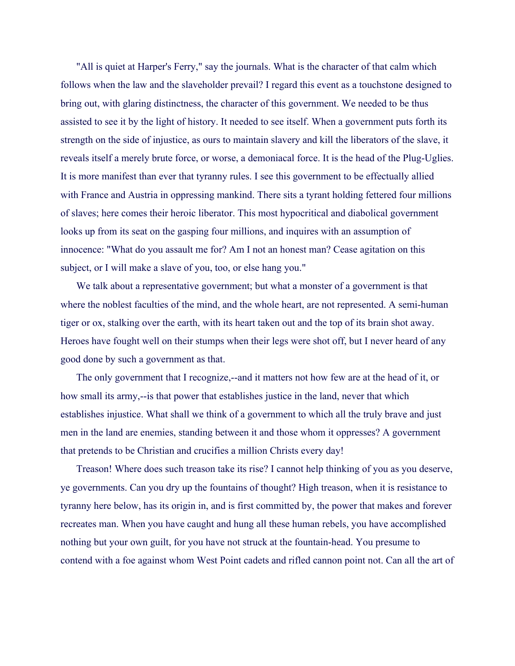"All is quiet at Harper's Ferry," say the journals. What is the character of that calm which follows when the law and the slaveholder prevail? I regard this event as a touchstone designed to bring out, with glaring distinctness, the character of this government. We needed to be thus assisted to see it by the light of history. It needed to see itself. When a government puts forth its strength on the side of injustice, as ours to maintain slavery and kill the liberators of the slave, it reveals itself a merely brute force, or worse, a demoniacal force. It is the head of the Plug-Uglies. It is more manifest than ever that tyranny rules. I see this government to be effectually allied with France and Austria in oppressing mankind. There sits a tyrant holding fettered four millions of slaves; here comes their heroic liberator. This most hypocritical and diabolical government looks up from its seat on the gasping four millions, and inquires with an assumption of innocence: "What do you assault me for? Am I not an honest man? Cease agitation on this subject, or I will make a slave of you, too, or else hang you."

We talk about a representative government; but what a monster of a government is that where the noblest faculties of the mind, and the whole heart, are not represented. A semi-human tiger or ox, stalking over the earth, with its heart taken out and the top of its brain shot away. Heroes have fought well on their stumps when their legs were shot off, but I never heard of any good done by such a government as that.

The only government that I recognize,--and it matters not how few are at the head of it, or how small its army,--is that power that establishes justice in the land, never that which establishes injustice. What shall we think of a government to which all the truly brave and just men in the land are enemies, standing between it and those whom it oppresses? A government that pretends to be Christian and crucifies a million Christs every day!

Treason! Where does such treason take its rise? I cannot help thinking of you as you deserve, ye governments. Can you dry up the fountains of thought? High treason, when it is resistance to tyranny here below, has its origin in, and is first committed by, the power that makes and forever recreates man. When you have caught and hung all these human rebels, you have accomplished nothing but your own guilt, for you have not struck at the fountain-head. You presume to contend with a foe against whom West Point cadets and rifled cannon point not. Can all the art of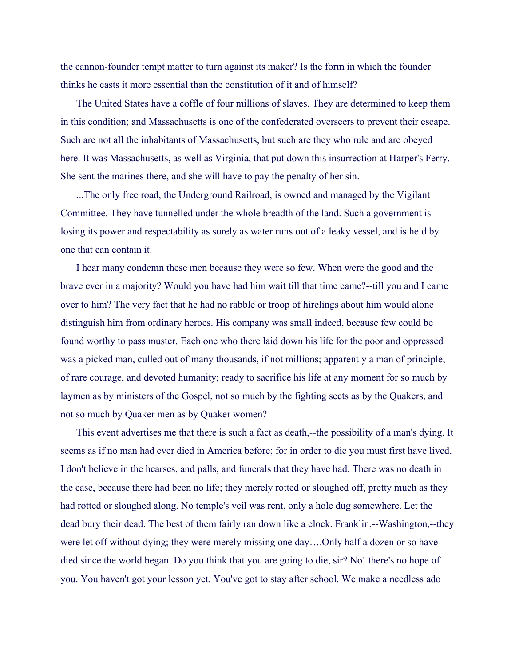the cannon-founder tempt matter to turn against its maker? Is the form in which the founder thinks he casts it more essential than the constitution of it and of himself?

The United States have a coffle of four millions of slaves. They are determined to keep them in this condition; and Massachusetts is one of the confederated overseers to prevent their escape. Such are not all the inhabitants of Massachusetts, but such are they who rule and are obeyed here. It was Massachusetts, as well as Virginia, that put down this insurrection at Harper's Ferry. She sent the marines there, and she will have to pay the penalty of her sin.

...The only free road, the Underground Railroad, is owned and managed by the Vigilant Committee. They have tunnelled under the whole breadth of the land. Such a government is losing its power and respectability as surely as water runs out of a leaky vessel, and is held by one that can contain it.

I hear many condemn these men because they were so few. When were the good and the brave ever in a majority? Would you have had him wait till that time came?--till you and I came over to him? The very fact that he had no rabble or troop of hirelings about him would alone distinguish him from ordinary heroes. His company was small indeed, because few could be found worthy to pass muster. Each one who there laid down his life for the poor and oppressed was a picked man, culled out of many thousands, if not millions; apparently a man of principle, of rare courage, and devoted humanity; ready to sacrifice his life at any moment for so much by laymen as by ministers of the Gospel, not so much by the fighting sects as by the Quakers, and not so much by Quaker men as by Quaker women?

This event advertises me that there is such a fact as death,--the possibility of a man's dying. It seems as if no man had ever died in America before; for in order to die you must first have lived. I don't believe in the hearses, and palls, and funerals that they have had. There was no death in the case, because there had been no life; they merely rotted or sloughed off, pretty much as they had rotted or sloughed along. No temple's veil was rent, only a hole dug somewhere. Let the dead bury their dead. The best of them fairly ran down like a clock. Franklin,--Washington,--they were let off without dying; they were merely missing one day….Only half a dozen or so have died since the world began. Do you think that you are going to die, sir? No! there's no hope of you. You haven't got your lesson yet. You've got to stay after school. We make a needless ado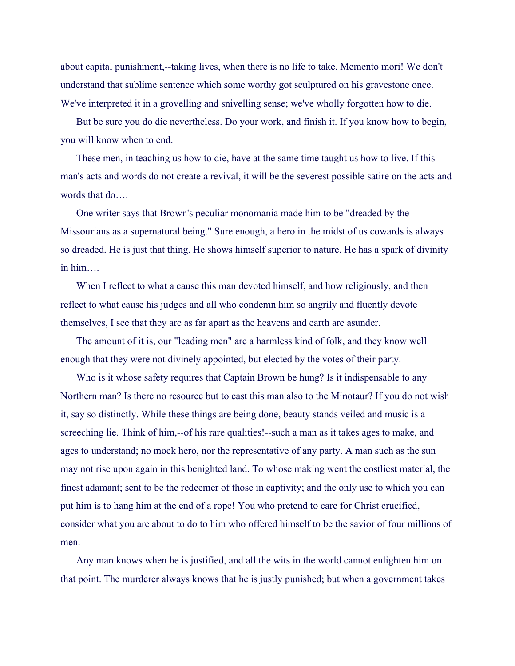about capital punishment,--taking lives, when there is no life to take. Memento mori! We don't understand that sublime sentence which some worthy got sculptured on his gravestone once. We've interpreted it in a grovelling and snivelling sense; we've wholly forgotten how to die.

But be sure you do die nevertheless. Do your work, and finish it. If you know how to begin, you will know when to end.

These men, in teaching us how to die, have at the same time taught us how to live. If this man's acts and words do not create a revival, it will be the severest possible satire on the acts and words that do….

One writer says that Brown's peculiar monomania made him to be "dreaded by the Missourians as a supernatural being." Sure enough, a hero in the midst of us cowards is always so dreaded. He is just that thing. He shows himself superior to nature. He has a spark of divinity in him….

When I reflect to what a cause this man devoted himself, and how religiously, and then reflect to what cause his judges and all who condemn him so angrily and fluently devote themselves, I see that they are as far apart as the heavens and earth are asunder.

The amount of it is, our "leading men" are a harmless kind of folk, and they know well enough that they were not divinely appointed, but elected by the votes of their party.

Who is it whose safety requires that Captain Brown be hung? Is it indispensable to any Northern man? Is there no resource but to cast this man also to the Minotaur? If you do not wish it, say so distinctly. While these things are being done, beauty stands veiled and music is a screeching lie. Think of him,--of his rare qualities!--such a man as it takes ages to make, and ages to understand; no mock hero, nor the representative of any party. A man such as the sun may not rise upon again in this benighted land. To whose making went the costliest material, the finest adamant; sent to be the redeemer of those in captivity; and the only use to which you can put him is to hang him at the end of a rope! You who pretend to care for Christ crucified, consider what you are about to do to him who offered himself to be the savior of four millions of men.

Any man knows when he is justified, and all the wits in the world cannot enlighten him on that point. The murderer always knows that he is justly punished; but when a government takes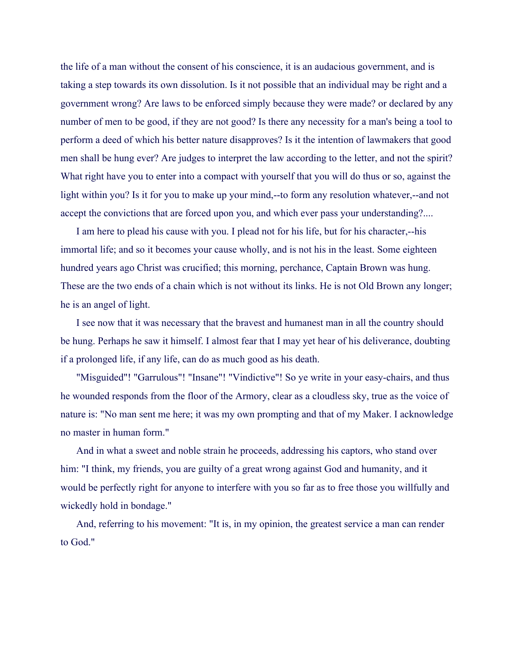the life of a man without the consent of his conscience, it is an audacious government, and is taking a step towards its own dissolution. Is it not possible that an individual may be right and a government wrong? Are laws to be enforced simply because they were made? or declared by any number of men to be good, if they are not good? Is there any necessity for a man's being a tool to perform a deed of which his better nature disapproves? Is it the intention of lawmakers that good men shall be hung ever? Are judges to interpret the law according to the letter, and not the spirit? What right have you to enter into a compact with yourself that you will do thus or so, against the light within you? Is it for you to make up your mind,--to form any resolution whatever,--and not accept the convictions that are forced upon you, and which ever pass your understanding?....

I am here to plead his cause with you. I plead not for his life, but for his character,--his immortal life; and so it becomes your cause wholly, and is not his in the least. Some eighteen hundred years ago Christ was crucified; this morning, perchance, Captain Brown was hung. These are the two ends of a chain which is not without its links. He is not Old Brown any longer; he is an angel of light.

I see now that it was necessary that the bravest and humanest man in all the country should be hung. Perhaps he saw it himself. I almost fear that I may yet hear of his deliverance, doubting if a prolonged life, if any life, can do as much good as his death.

"Misguided"! "Garrulous"! "Insane"! "Vindictive"! So ye write in your easy-chairs, and thus he wounded responds from the floor of the Armory, clear as a cloudless sky, true as the voice of nature is: "No man sent me here; it was my own prompting and that of my Maker. I acknowledge no master in human form."

And in what a sweet and noble strain he proceeds, addressing his captors, who stand over him: "I think, my friends, you are guilty of a great wrong against God and humanity, and it would be perfectly right for anyone to interfere with you so far as to free those you willfully and wickedly hold in bondage."

And, referring to his movement: "It is, in my opinion, the greatest service a man can render to God."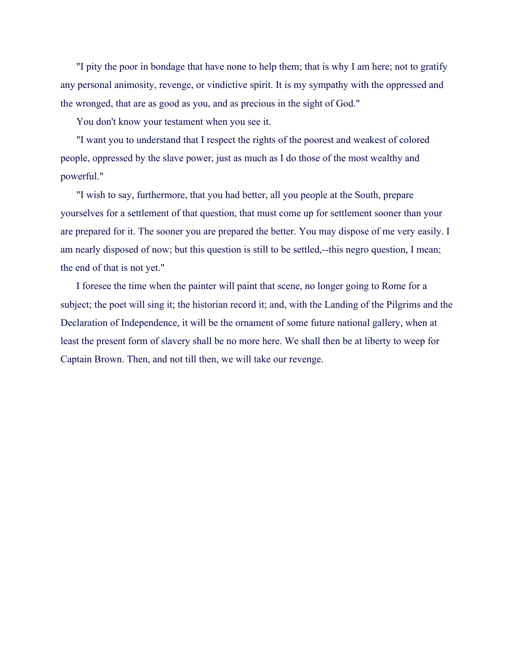"I pity the poor in bondage that have none to help them; that is why I am here; not to gratify any personal animosity, revenge, or vindictive spirit. It is my sympathy with the oppressed and the wronged, that are as good as you, and as precious in the sight of God."

You don't know your testament when you see it.

"I want you to understand that I respect the rights of the poorest and weakest of colored people, oppressed by the slave power, just as much as I do those of the most wealthy and powerful."

"I wish to say, furthermore, that you had better, all you people at the South, prepare yourselves for a settlement of that question, that must come up for settlement sooner than your are prepared for it. The sooner you are prepared the better. You may dispose of me very easily. I am nearly disposed of now; but this question is still to be settled,--this negro question, I mean; the end of that is not yet."

I foresee the time when the painter will paint that scene, no longer going to Rome for a subject; the poet will sing it; the historian record it; and, with the Landing of the Pilgrims and the Declaration of Independence, it will be the ornament of some future national gallery, when at least the present form of slavery shall be no more here. We shall then be at liberty to weep for Captain Brown. Then, and not till then, we will take our revenge.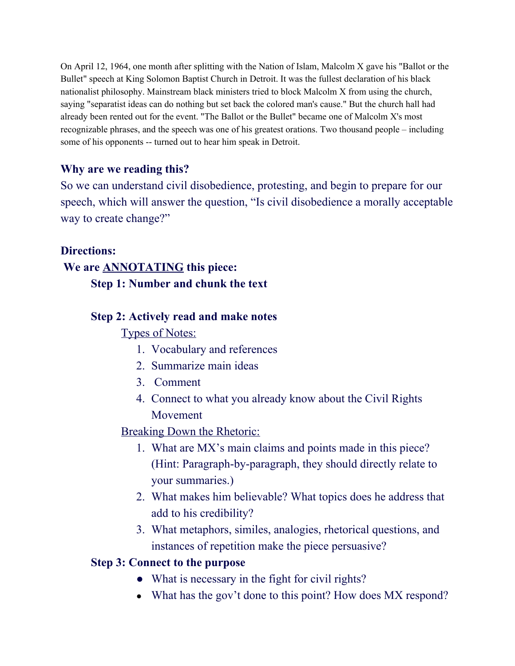On April 12, 1964, one month after splitting with the Nation of Islam, Malcolm X gave his "Ballot or the Bullet" speech at King Solomon Baptist Church in Detroit. It was the fullest declaration of his black nationalist philosophy. Mainstream black ministers tried to block Malcolm X from using the church, saying "separatist ideas can do nothing but set back the colored man's cause." But the church hall had already been rented out for the event. "The Ballot or the Bullet" became one of Malcolm X's most recognizable phrases, and the speech was one of his greatest orations. Two thousand people – including some of his opponents -- turned out to hear him speak in Detroit.

# **Why are we reading this?**

So we can understand civil disobedience, protesting, and begin to prepare for our speech, which will answer the question, "Is civil disobedience a morally acceptable way to create change?"

# **Directions:**

**We are ANNOTATING this piece: Step 1: Number and chunk the text**

# **Step 2: Actively read and make notes**

Types of Notes:

- 1. Vocabulary and references
- 2. Summarize main ideas
- 3. Comment
- 4. Connect to what you already know about the Civil Rights Movement

Breaking Down the Rhetoric:

- 1. What are MX's main claims and points made in this piece? (Hint: Paragraph-by-paragraph, they should directly relate to your summaries.)
- 2. What makes him believable? What topics does he address that add to his credibility?
- 3. What metaphors, similes, analogies, rhetorical questions, and instances of repetition make the piece persuasive?

# **Step 3: Connect to the purpose**

- What is necessary in the fight for civil rights?
- What has the gov't done to this point? How does MX respond?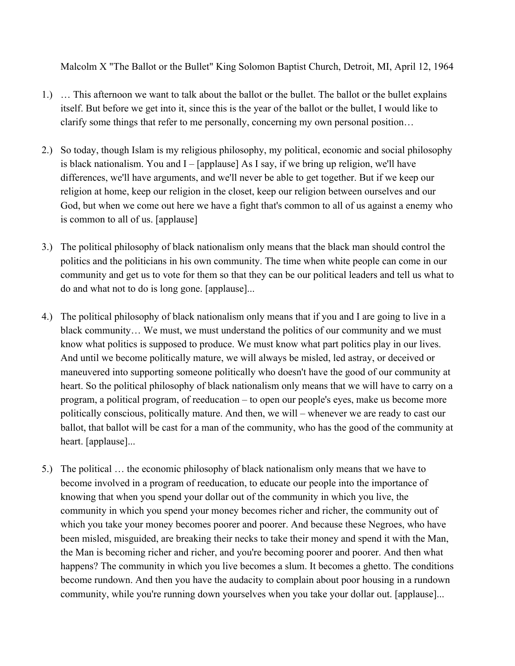Malcolm X "The Ballot or the Bullet" King Solomon Baptist Church, Detroit, MI, April 12, 1964

- 1.) … This afternoon we want to talk about the ballot or the bullet. The ballot or the bullet explains itself. But before we get into it, since this is the year of the ballot or the bullet, I would like to clarify some things that refer to me personally, concerning my own personal position…
- 2.) So today, though Islam is my religious philosophy, my political, economic and social philosophy is black nationalism. You and I – [applause] As I say, if we bring up religion, we'll have differences, we'll have arguments, and we'll never be able to get together. But if we keep our religion at home, keep our religion in the closet, keep our religion between ourselves and our God, but when we come out here we have a fight that's common to all of us against a enemy who is common to all of us. [applause]
- 3.) The political philosophy of black nationalism only means that the black man should control the politics and the politicians in his own community. The time when white people can come in our community and get us to vote for them so that they can be our political leaders and tell us what to do and what not to do is long gone. [applause]...
- 4.) The political philosophy of black nationalism only means that if you and I are going to live in a black community… We must, we must understand the politics of our community and we must know what politics is supposed to produce. We must know what part politics play in our lives. And until we become politically mature, we will always be misled, led astray, or deceived or maneuvered into supporting someone politically who doesn't have the good of our community at heart. So the political philosophy of black nationalism only means that we will have to carry on a program, a political program, of reeducation – to open our people's eyes, make us become more politically conscious, politically mature. And then, we will – whenever we are ready to cast our ballot, that ballot will be cast for a man of the community, who has the good of the community at heart. [applause]...
- 5.) The political … the economic philosophy of black nationalism only means that we have to become involved in a program of reeducation, to educate our people into the importance of knowing that when you spend your dollar out of the community in which you live, the community in which you spend your money becomes richer and richer, the community out of which you take your money becomes poorer and poorer. And because these Negroes, who have been misled, misguided, are breaking their necks to take their money and spend it with the Man, the Man is becoming richer and richer, and you're becoming poorer and poorer. And then what happens? The community in which you live becomes a slum. It becomes a ghetto. The conditions become rundown. And then you have the audacity to complain about poor housing in a rundown community, while you're running down yourselves when you take your dollar out. [applause]...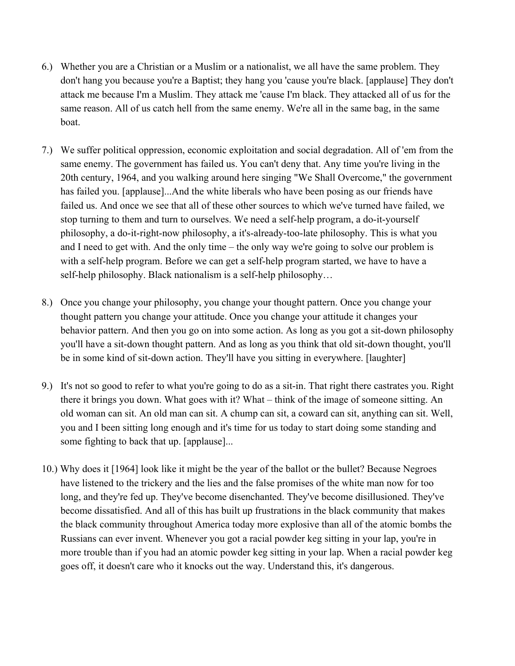- 6.) Whether you are a Christian or a Muslim or a nationalist, we all have the same problem. They don't hang you because you're a Baptist; they hang you 'cause you're black. [applause] They don't attack me because I'm a Muslim. They attack me 'cause I'm black. They attacked all of us for the same reason. All of us catch hell from the same enemy. We're all in the same bag, in the same boat.
- 7.) We suffer political oppression, economic exploitation and social degradation. All of 'em from the same enemy. The government has failed us. You can't deny that. Any time you're living in the 20th century, 1964, and you walking around here singing "We Shall Overcome," the government has failed you. [applause]...And the white liberals who have been posing as our friends have failed us. And once we see that all of these other sources to which we've turned have failed, we stop turning to them and turn to ourselves. We need a self-help program, a do-it-yourself philosophy, a do-it-right-now philosophy, a it's-already-too-late philosophy. This is what you and I need to get with. And the only time – the only way we're going to solve our problem is with a self-help program. Before we can get a self-help program started, we have to have a self-help philosophy. Black nationalism is a self-help philosophy…
- 8.) Once you change your philosophy, you change your thought pattern. Once you change your thought pattern you change your attitude. Once you change your attitude it changes your behavior pattern. And then you go on into some action. As long as you got a sit-down philosophy you'll have a sit-down thought pattern. And as long as you think that old sit-down thought, you'll be in some kind of sit-down action. They'll have you sitting in everywhere. [laughter]
- 9.) It's not so good to refer to what you're going to do as a sit-in. That right there castrates you. Right there it brings you down. What goes with it? What – think of the image of someone sitting. An old woman can sit. An old man can sit. A chump can sit, a coward can sit, anything can sit. Well, you and I been sitting long enough and it's time for us today to start doing some standing and some fighting to back that up. [applause]...
- 10.) Why does it [1964] look like it might be the year of the ballot or the bullet? Because Negroes have listened to the trickery and the lies and the false promises of the white man now for too long, and they're fed up. They've become disenchanted. They've become disillusioned. They've become dissatisfied. And all of this has built up frustrations in the black community that makes the black community throughout America today more explosive than all of the atomic bombs the Russians can ever invent. Whenever you got a racial powder keg sitting in your lap, you're in more trouble than if you had an atomic powder keg sitting in your lap. When a racial powder keg goes off, it doesn't care who it knocks out the way. Understand this, it's dangerous.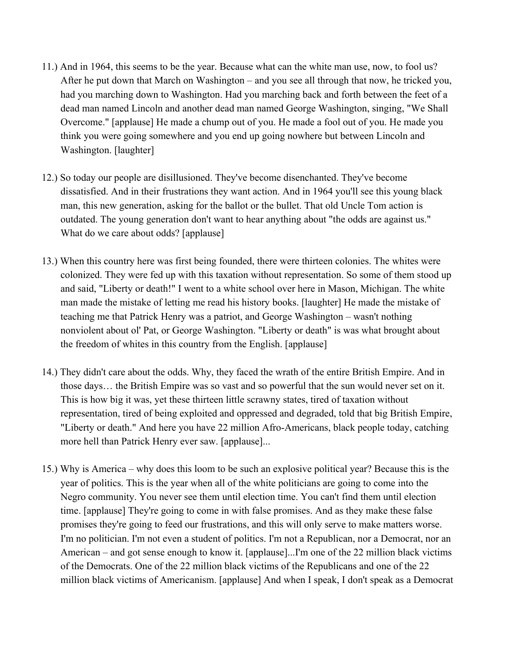- 11.) And in 1964, this seems to be the year. Because what can the white man use, now, to fool us? After he put down that March on Washington – and you see all through that now, he tricked you, had you marching down to Washington. Had you marching back and forth between the feet of a dead man named Lincoln and another dead man named George Washington, singing, "We Shall Overcome." [applause] He made a chump out of you. He made a fool out of you. He made you think you were going somewhere and you end up going nowhere but between Lincoln and Washington. [laughter]
- 12.) So today our people are disillusioned. They've become disenchanted. They've become dissatisfied. And in their frustrations they want action. And in 1964 you'll see this young black man, this new generation, asking for the ballot or the bullet. That old Uncle Tom action is outdated. The young generation don't want to hear anything about "the odds are against us." What do we care about odds? [applause]
- 13.) When this country here was first being founded, there were thirteen colonies. The whites were colonized. They were fed up with this taxation without representation. So some of them stood up and said, "Liberty or death!" I went to a white school over here in Mason, Michigan. The white man made the mistake of letting me read his history books. [laughter] He made the mistake of teaching me that Patrick Henry was a patriot, and George Washington – wasn't nothing nonviolent about ol' Pat, or George Washington. "Liberty or death" is was what brought about the freedom of whites in this country from the English. [applause]
- 14.) They didn't care about the odds. Why, they faced the wrath of the entire British Empire. And in those days… the British Empire was so vast and so powerful that the sun would never set on it. This is how big it was, yet these thirteen little scrawny states, tired of taxation without representation, tired of being exploited and oppressed and degraded, told that big British Empire, "Liberty or death." And here you have 22 million Afro-Americans, black people today, catching more hell than Patrick Henry ever saw. [applause]...
- 15.) Why is America why does this loom to be such an explosive political year? Because this is the year of politics. This is the year when all of the white politicians are going to come into the Negro community. You never see them until election time. You can't find them until election time. [applause] They're going to come in with false promises. And as they make these false promises they're going to feed our frustrations, and this will only serve to make matters worse. I'm no politician. I'm not even a student of politics. I'm not a Republican, nor a Democrat, nor an American – and got sense enough to know it. [applause]...I'm one of the 22 million black victims of the Democrats. One of the 22 million black victims of the Republicans and one of the 22 million black victims of Americanism. [applause] And when I speak, I don't speak as a Democrat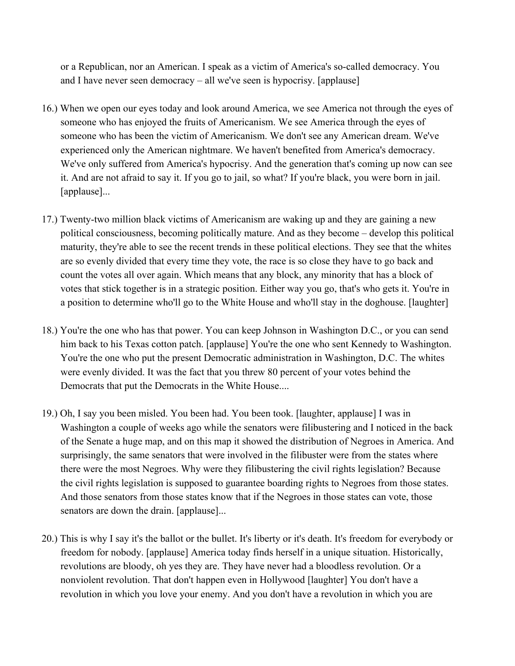or a Republican, nor an American. I speak as a victim of America's so-called democracy. You and I have never seen democracy – all we've seen is hypocrisy. [applause]

- 16.) When we open our eyes today and look around America, we see America not through the eyes of someone who has enjoyed the fruits of Americanism. We see America through the eyes of someone who has been the victim of Americanism. We don't see any American dream. We've experienced only the American nightmare. We haven't benefited from America's democracy. We've only suffered from America's hypocrisy. And the generation that's coming up now can see it. And are not afraid to say it. If you go to jail, so what? If you're black, you were born in jail. [applause]...
- 17.) Twenty-two million black victims of Americanism are waking up and they are gaining a new political consciousness, becoming politically mature. And as they become – develop this political maturity, they're able to see the recent trends in these political elections. They see that the whites are so evenly divided that every time they vote, the race is so close they have to go back and count the votes all over again. Which means that any block, any minority that has a block of votes that stick together is in a strategic position. Either way you go, that's who gets it. You're in a position to determine who'll go to the White House and who'll stay in the doghouse. [laughter]
- 18.) You're the one who has that power. You can keep Johnson in Washington D.C., or you can send him back to his Texas cotton patch. [applause] You're the one who sent Kennedy to Washington. You're the one who put the present Democratic administration in Washington, D.C. The whites were evenly divided. It was the fact that you threw 80 percent of your votes behind the Democrats that put the Democrats in the White House....
- 19.) Oh, I say you been misled. You been had. You been took. [laughter, applause] I was in Washington a couple of weeks ago while the senators were filibustering and I noticed in the back of the Senate a huge map, and on this map it showed the distribution of Negroes in America. And surprisingly, the same senators that were involved in the filibuster were from the states where there were the most Negroes. Why were they filibustering the civil rights legislation? Because the civil rights legislation is supposed to guarantee boarding rights to Negroes from those states. And those senators from those states know that if the Negroes in those states can vote, those senators are down the drain. [applause]...
- 20.) This is why I say it's the ballot or the bullet. It's liberty or it's death. It's freedom for everybody or freedom for nobody. [applause] America today finds herself in a unique situation. Historically, revolutions are bloody, oh yes they are. They have never had a bloodless revolution. Or a nonviolent revolution. That don't happen even in Hollywood [laughter] You don't have a revolution in which you love your enemy. And you don't have a revolution in which you are